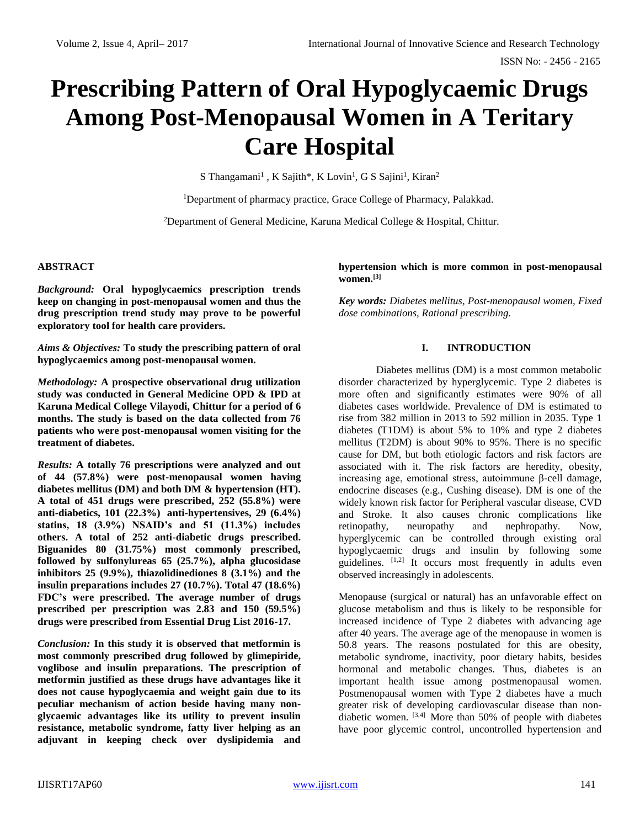# **Prescribing Pattern of Oral Hypoglycaemic Drugs Among Post-Menopausal Women in A Teritary Care Hospital**

S Thangamani<sup>1</sup>, K Sajith\*, K Lovin<sup>1</sup>, G S Sajini<sup>1</sup>, Kiran<sup>2</sup>

<sup>1</sup>Department of pharmacy practice, Grace College of Pharmacy, Palakkad.

<sup>2</sup>Department of General Medicine, Karuna Medical College & Hospital, Chittur.

### **ABSTRACT**

*Background:* **Oral hypoglycaemics prescription trends keep on changing in post-menopausal women and thus the drug prescription trend study may prove to be powerful exploratory tool for health care providers.**

*Aims & Objectives:* **To study the prescribing pattern of oral hypoglycaemics among post-menopausal women.**

*Methodology:* **A prospective observational drug utilization study was conducted in General Medicine OPD & IPD at Karuna Medical College Vilayodi, Chittur for a period of 6 months. The study is based on the data collected from 76 patients who were post-menopausal women visiting for the treatment of diabetes.**

*Results:* **A totally 76 prescriptions were analyzed and out of 44 (57.8%) were post-menopausal women having diabetes mellitus (DM) and both DM & hypertension (HT). A total of 451 drugs were prescribed, 252 (55.8%) were anti-diabetics, 101 (22.3%) anti-hypertensives, 29 (6.4%) statins, 18 (3.9%) NSAID's and 51 (11.3%) includes others. A total of 252 anti-diabetic drugs prescribed. Biguanides 80 (31.75%) most commonly prescribed, followed by sulfonylureas 65 (25.7%), alpha glucosidase inhibitors 25 (9.9%), thiazolidinediones 8 (3.1%) and the insulin preparations includes 27 (10.7%). Total 47 (18.6%) FDC's were prescribed. The average number of drugs prescribed per prescription was 2.83 and 150 (59.5%) drugs were prescribed from Essential Drug List 2016-17.**

*Conclusion:* **In this study it is observed that metformin is most commonly prescribed drug followed by glimepiride, voglibose and insulin preparations. The prescription of metformin justified as these drugs have advantages like it does not cause hypoglycaemia and weight gain due to its peculiar mechanism of action beside having many nonglycaemic advantages like its utility to prevent insulin resistance, metabolic syndrome, fatty liver helping as an adjuvant in keeping check over dyslipidemia and**  **hypertension which is more common in post-menopausal women.[3]**

*Key words: Diabetes mellitus, Post-menopausal women, Fixed dose combinations, Rational prescribing.*

#### **I. INTRODUCTION**

Diabetes mellitus (DM) is a most common metabolic disorder characterized by hyperglycemic. Type 2 diabetes is more often and significantly estimates were 90% of all diabetes cases worldwide. Prevalence of DM is estimated to rise from 382 million in 2013 to 592 million in 2035. Type 1 diabetes (T1DM) is about 5% to 10% and type 2 diabetes mellitus (T2DM) is about 90% to 95%. There is no specific cause for DM, but both etiologic factors and risk factors are associated with it. The risk factors are heredity, obesity, increasing age, emotional stress, autoimmune β-cell damage, endocrine diseases (e.g., Cushing disease). DM is one of the widely known risk factor for Peripheral vascular disease, CVD and Stroke. It also causes chronic complications like retinopathy, neuropathy and nephropathy. Now, hyperglycemic can be controlled through existing oral hypoglycaemic drugs and insulin by following some guidelines.  $[1,2]$  It occurs most frequently in adults even observed increasingly in adolescents.

Menopause (surgical or natural) has an unfavorable effect on glucose metabolism and thus is likely to be responsible for increased incidence of Type 2 diabetes with advancing age after 40 years. The average age of the menopause in women is 50.8 years. The reasons postulated for this are obesity, metabolic syndrome, inactivity, poor dietary habits, besides hormonal and metabolic changes. Thus, diabetes is an important health issue among postmenopausal women. Postmenopausal women with Type 2 diabetes have a much greater risk of developing cardiovascular disease than nondiabetic women. [3,4] More than 50% of people with diabetes have poor glycemic control, uncontrolled hypertension and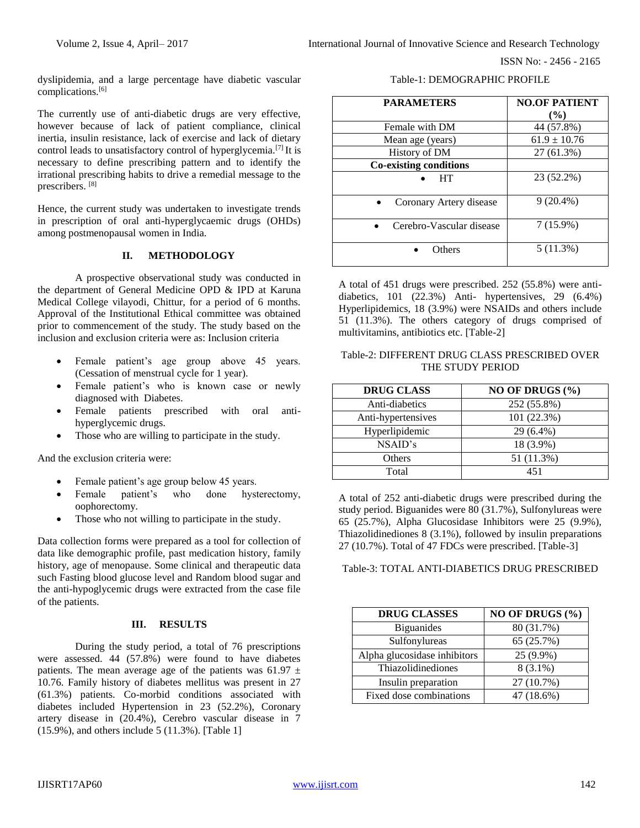ISSN No: - 2456 - 2165

dyslipidemia, and a large percentage have diabetic vascular complications.[6]

The currently use of anti-diabetic drugs are very effective, however because of lack of patient compliance, clinical inertia, insulin resistance, lack of exercise and lack of dietary control leads to unsatisfactory control of hyperglycemia.[7] It is necessary to define prescribing pattern and to identify the irrational prescribing habits to drive a remedial message to the prescribers. [8]

Hence, the current study was undertaken to investigate trends in prescription of oral anti-hyperglycaemic drugs (OHDs) among postmenopausal women in India.

# **II. METHODOLOGY**

A prospective observational study was conducted in the department of General Medicine OPD & IPD at Karuna Medical College vilayodi, Chittur, for a period of 6 months. Approval of the Institutional Ethical committee was obtained prior to commencement of the study. The study based on the inclusion and exclusion criteria were as: Inclusion criteria

- Female patient's age group above 45 years. (Cessation of menstrual cycle for 1 year).
- Female patient's who is known case or newly diagnosed with Diabetes.
- Female patients prescribed with oral antihyperglycemic drugs.
- Those who are willing to participate in the study.

And the exclusion criteria were:

- Female patient's age group below 45 years.
- Female patient's who done hysterectomy, oophorectomy.
- Those who not willing to participate in the study.

Data collection forms were prepared as a tool for collection of data like demographic profile, past medication history, family history, age of menopause. Some clinical and therapeutic data such Fasting blood glucose level and Random blood sugar and the anti-hypoglycemic drugs were extracted from the case file of the patients.

### **III. RESULTS**

During the study period, a total of 76 prescriptions were assessed. 44 (57.8%) were found to have diabetes patients. The mean average age of the patients was 61.97  $\pm$ 10.76. Family history of diabetes mellitus was present in 27 (61.3%) patients. Co-morbid conditions associated with diabetes included Hypertension in 23 (52.2%), Coronary artery disease in (20.4%), Cerebro vascular disease in 7 (15.9%), and others include 5 (11.3%). [Table 1]

| <b>PARAMETERS</b>             | <b>NO.OF PATIENT</b> |
|-------------------------------|----------------------|
|                               | (%)                  |
| Female with DM                | 44 (57.8%)           |
| Mean age (years)              | $61.9 \pm 10.76$     |
| History of DM                 | 27 (61.3%)           |
| <b>Co-existing conditions</b> |                      |
| HT                            | 23 (52.2%)           |
| Coronary Artery disease       | $9(20.4\%)$          |
| Cerebro-Vascular disease      | $7(15.9\%)$          |
| Others                        | 5 (11.3%)            |

A total of 451 drugs were prescribed. 252 (55.8%) were antidiabetics, 101  $(22.3\%)$  Anti- hypertensives, 29  $(6.4\%)$ Hyperlipidemics, 18 (3.9%) were NSAIDs and others include 51 (11.3%). The others category of drugs comprised of multivitamins, antibiotics etc. [Table-2]

#### Table-2: DIFFERENT DRUG CLASS PRESCRIBED OVER THE STUDY PERIOD

| <b>DRUG CLASS</b>  | NO OF DRUGS (%) |
|--------------------|-----------------|
| Anti-diabetics     | 252 (55.8%)     |
| Anti-hypertensives | 101 (22.3%)     |
| Hyperlipidemic     | $29(6.4\%)$     |
| NSAID's            | 18 (3.9%)       |
| <b>Others</b>      | 51 (11.3%)      |
| Total              | 451             |

A total of 252 anti-diabetic drugs were prescribed during the study period. Biguanides were  $80$  (31.7%), Sulfonylureas were 65 (25.7%), Alpha Glucosidase Inhibitors were 25 (9.9%), Thiazolidinediones 8 (3.1%), followed by insulin preparations 27 (10.7%). Total of 47 FDCs were prescribed. [Table-3]

### Table-3: TOTAL ANTI-DIABETICS DRUG PRESCRIBED

| <b>DRUG CLASSES</b>          | NO OF DRUGS (%) |
|------------------------------|-----------------|
| <b>Biguanides</b>            | 80 (31.7%)      |
| Sulfonylureas                | 65 (25.7%)      |
| Alpha glucosidase inhibitors | 25 (9.9%)       |
| Thiazolidinediones           | $8(3.1\%)$      |
| Insulin preparation          | 27 (10.7%)      |
| Fixed dose combinations      | 47 (18.6%)      |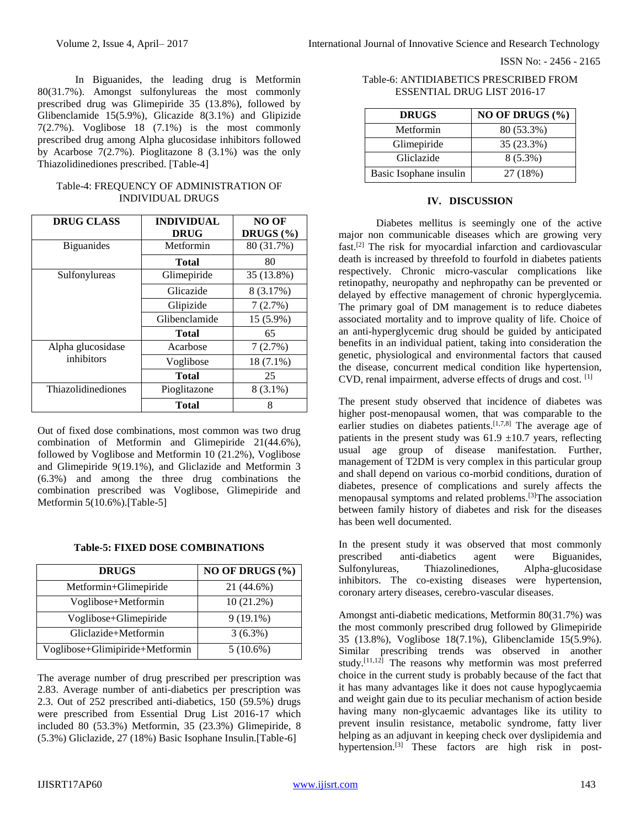ISSN No: - 2456 - 2165

In Biguanides, the leading drug is Metformin 80(31.7%). Amongst sulfonylureas the most commonly prescribed drug was Glimepiride 35 (13.8%), followed by Glibenclamide 15(5.9%), Glicazide 8(3.1%) and Glipizide 7(2.7%). Voglibose 18 (7.1%) is the most commonly prescribed drug among Alpha glucosidase inhibitors followed by Acarbose 7(2.7%). Pioglitazone 8 (3.1%) was the only Thiazolidinediones prescribed. [Table-4]

| Table-4: FREQUENCY OF ADMINISTRATION OF |
|-----------------------------------------|
| <b>INDIVIDUAL DRUGS</b>                 |

| <b>DRUG CLASS</b>  | <b>INDIVIDUAL</b> | NO OF         |
|--------------------|-------------------|---------------|
|                    | <b>DRUG</b>       | DRUGS $(\% )$ |
| <b>B</b> iguanides | Metformin         | 80 (31.7%)    |
|                    | Total             | 80            |
| Sulfonylureas      | Glimepiride       | 35 (13.8%)    |
|                    | Glicazide         | 8 (3.17%)     |
|                    | Glipizide         | 7(2.7%)       |
|                    | Glibenclamide     | 15 (5.9%)     |
|                    | <b>Total</b>      | 65            |
| Alpha glucosidase  | Acarbose          | 7(2.7%)       |
| inhibitors         | Voglibose         | $18(7.1\%)$   |
|                    | <b>Total</b>      | 25            |
| Thiazolidinediones | Pioglitazone      | $8(3.1\%)$    |
|                    | <b>Total</b>      | 8             |

Out of fixed dose combinations, most common was two drug combination of Metformin and Glimepiride 21(44.6%), followed by Voglibose and Metformin 10 (21.2%), Voglibose and Glimepiride 9(19.1%), and Gliclazide and Metformin 3 (6.3%) and among the three drug combinations the combination prescribed was Voglibose, Glimepiride and Metformin 5(10.6%).[Table-5]

|  |  |  | <b>Table-5: FIXED DOSE COMBINATIONS</b> |  |
|--|--|--|-----------------------------------------|--|
|--|--|--|-----------------------------------------|--|

| <b>DRUGS</b>                    | NO OF DRUGS (%) |
|---------------------------------|-----------------|
| Metformin+Glimepiride           | 21 (44.6%)      |
| Voglibose+Metformin             | $10(21.2\%)$    |
| Voglibose+Glimepiride           | $9(19.1\%)$     |
| Gliclazide+Metformin            | $3(6.3\%)$      |
| Voglibose+Glimipiride+Metformin | $5(10.6\%)$     |

The average number of drug prescribed per prescription was 2.83. Average number of anti-diabetics per prescription was 2.3. Out of 252 prescribed anti-diabetics, 150 (59.5%) drugs were prescribed from Essential Drug List 2016-17 which included 80 (53.3%) Metformin, 35 (23.3%) Glimepiride, 8 (5.3%) Gliclazide, 27 (18%) Basic Isophane Insulin.[Table-6]

| Table-6: ANTIDIABETICS PRESCRIBED FROM |
|----------------------------------------|
| ESSENTIAL DRUG LIST 2016-17            |

| <b>DRUGS</b>           | NO OF DRUGS (%) |
|------------------------|-----------------|
| Metformin              | 80 (53.3%)      |
| Glimepiride            | 35 (23.3%)      |
| Gliclazide             | $8(5.3\%)$      |
| Basic Isophane insulin | 27 (18%)        |

## **IV. DISCUSSION**

Diabetes mellitus is seemingly one of the active major non communicable diseases which are growing very fast.[2] The risk for myocardial infarction and cardiovascular death is increased by threefold to fourfold in diabetes patients respectively. Chronic micro-vascular complications like retinopathy, neuropathy and nephropathy can be prevented or delayed by effective management of chronic hyperglycemia. The primary goal of DM management is to reduce diabetes associated mortality and to improve quality of life. Choice of an anti-hyperglycemic drug should be guided by anticipated benefits in an individual patient, taking into consideration the genetic, physiological and environmental factors that caused the disease, concurrent medical condition like hypertension, CVD, renal impairment, adverse effects of drugs and cost. [1]

The present study observed that incidence of diabetes was higher post-menopausal women, that was comparable to the earlier studies on diabetes patients.<sup>[1,7,8]</sup> The average age of patients in the present study was  $61.9 \pm 10.7$  years, reflecting usual age group of disease manifestation. Further, management of T2DM is very complex in this particular group and shall depend on various co-morbid conditions, duration of diabetes, presence of complications and surely affects the menopausal symptoms and related problems.[3]The association between family history of diabetes and risk for the diseases has been well documented.

In the present study it was observed that most commonly prescribed anti-diabetics agent were Biguanides, Sulfonylureas, Thiazolinediones, Alpha-glucosidase inhibitors. The co-existing diseases were hypertension, coronary artery diseases, cerebro-vascular diseases.

Amongst anti-diabetic medications, Metformin 80(31.7%) was the most commonly prescribed drug followed by Glimepiride 35 (13.8%), Voglibose 18(7.1%), Glibenclamide 15(5.9%). Similar prescribing trends was observed in another study.<sup>[11,12]</sup> The reasons why metformin was most preferred choice in the current study is probably because of the fact that it has many advantages like it does not cause hypoglycaemia and weight gain due to its peculiar mechanism of action beside having many non-glycaemic advantages like its utility to prevent insulin resistance, metabolic syndrome, fatty liver helping as an adjuvant in keeping check over dyslipidemia and hypertension.<sup>[3]</sup> These factors are high risk in post-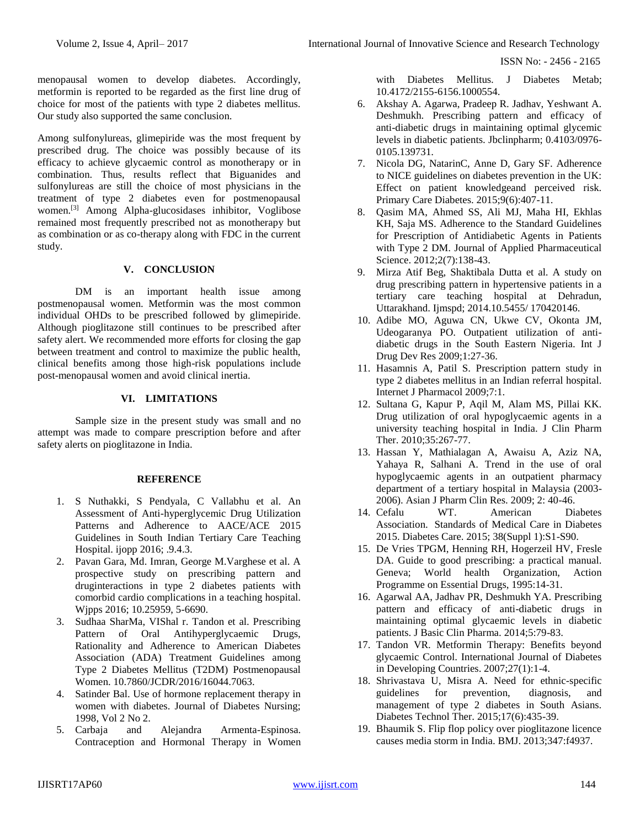ISSN No: - 2456 - 2165

menopausal women to develop diabetes. Accordingly, metformin is reported to be regarded as the first line drug of choice for most of the patients with type 2 diabetes mellitus. Our study also supported the same conclusion.

Among sulfonylureas, glimepiride was the most frequent by prescribed drug. The choice was possibly because of its efficacy to achieve glycaemic control as monotherapy or in combination. Thus, results reflect that Biguanides and sulfonylureas are still the choice of most physicians in the treatment of type 2 diabetes even for postmenopausal women.[3] Among Alpha-glucosidases inhibitor, Voglibose remained most frequently prescribed not as monotherapy but as combination or as co-therapy along with FDC in the current study.

# **V. CONCLUSION**

DM is an important health issue among postmenopausal women. Metformin was the most common individual OHDs to be prescribed followed by glimepiride. Although pioglitazone still continues to be prescribed after safety alert. We recommended more efforts for closing the gap between treatment and control to maximize the public health, clinical benefits among those high-risk populations include post-menopausal women and avoid clinical inertia.

# **VI. LIMITATIONS**

Sample size in the present study was small and no attempt was made to compare prescription before and after safety alerts on pioglitazone in India.

### **REFERENCE**

- 1. S Nuthakki, S Pendyala, C Vallabhu et al. An Assessment of Anti-hyperglycemic Drug Utilization Patterns and Adherence to AACE/ACE 2015 Guidelines in South Indian Tertiary Care Teaching Hospital. ijopp 2016; .9.4.3.
- 2. Pavan Gara, Md. Imran, George M.Varghese et al. A prospective study on prescribing pattern and druginteractions in type 2 diabetes patients with comorbid cardio complications in a teaching hospital. Wjpps 2016; 10.25959, 5-6690.
- 3. Sudhaa SharMa, VIShal r. Tandon et al. Prescribing Pattern of Oral Antihyperglycaemic Drugs, Rationality and Adherence to American Diabetes Association (ADA) Treatment Guidelines among Type 2 Diabetes Mellitus (T2DM) Postmenopausal Women. 10.7860/JCDR/2016/16044.7063.
- 4. Satinder Bal. Use of hormone replacement therapy in women with diabetes. Journal of Diabetes Nursing; 1998, Vol 2 No 2.
- 5. Carbaja and Alejandra Armenta-Espinosa. Contraception and Hormonal Therapy in Women

with Diabetes Mellitus. J Diabetes Metab; 10.4172/2155-6156.1000554.

- 6. Akshay A. Agarwa, Pradeep R. Jadhav, Yeshwant A. Deshmukh. Prescribing pattern and efficacy of anti-diabetic drugs in maintaining optimal glycemic levels in diabetic patients. Jbclinpharm; 0.4103/0976- 0105.139731.
- 7. Nicola DG, NatarinC, Anne D, Gary SF. Adherence to NICE guidelines on diabetes prevention in the UK: Effect on patient knowledgeand perceived risk. Primary Care Diabetes. 2015;9(6):407-11.
- 8. Qasim MA, Ahmed SS, Ali MJ, Maha HI, Ekhlas KH, Saja MS. Adherence to the Standard Guidelines for Prescription of Antidiabetic Agents in Patients with Type 2 DM. Journal of Applied Pharmaceutical Science. 2012;2(7):138-43.
- 9. Mirza Atif Beg, Shaktibala Dutta et al. A study on drug prescribing pattern in hypertensive patients in a tertiary care teaching hospital at Dehradun, Uttarakhand. Ijmspd; 2014.10.5455/ 170420146.
- 10. Adibe MO, Aguwa CN, Ukwe CV, Okonta JM, Udeogaranya PO. Outpatient utilization of antidiabetic drugs in the South Eastern Nigeria. Int J Drug Dev Res 2009;1:27-36.
- 11. Hasamnis A, Patil S. Prescription pattern study in type 2 diabetes mellitus in an Indian referral hospital. Internet J Pharmacol 2009;7:1.
- 12. Sultana G, Kapur P, Aqil M, Alam MS, Pillai KK. Drug utilization of oral hypoglycaemic agents in a university teaching hospital in India. J Clin Pharm Ther. 2010;35:267-77.
- 13. Hassan Y, Mathialagan A, Awaisu A, Aziz NA, Yahaya R, Salhani A. Trend in the use of oral hypoglycaemic agents in an outpatient pharmacy department of a tertiary hospital in Malaysia (2003- 2006). Asian J Pharm Clin Res. 2009; 2: 40-46.
- 14. Cefalu WT. American Diabetes Association. Standards of Medical Care in Diabetes 2015. Diabetes Care. 2015; 38(Suppl 1):S1-S90.
- 15. De Vries TPGM, Henning RH, Hogerzeil HV, Fresle DA. Guide to good prescribing: a practical manual. Geneva; World health Organization, Action Programme on Essential Drugs, 1995:14-31.
- 16. Agarwal AA, Jadhav PR, Deshmukh YA. Prescribing pattern and efficacy of anti-diabetic drugs in maintaining optimal glycaemic levels in diabetic patients. J Basic Clin Pharma. 2014;5:79-83.
- 17. Tandon VR. Metformin Therapy: Benefits beyond glycaemic Control. International Journal of Diabetes in Developing Countries. 2007;27(1):1-4.
- 18. Shrivastava U, Misra A. Need for ethnic-specific guidelines for prevention, diagnosis, and management of type 2 diabetes in South Asians. Diabetes Technol Ther. 2015;17(6):435-39.
- 19. Bhaumik S. Flip flop policy over pioglitazone licence causes media storm in India. BMJ. 2013;347:f4937.